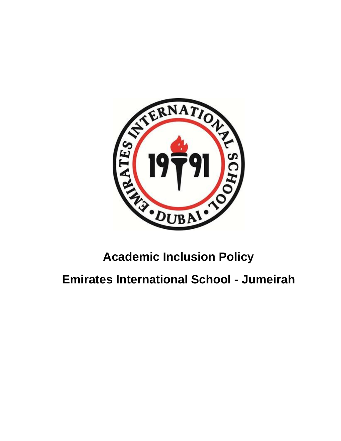

# **Academic Inclusion Policy**

**Emirates International School - Jumeirah**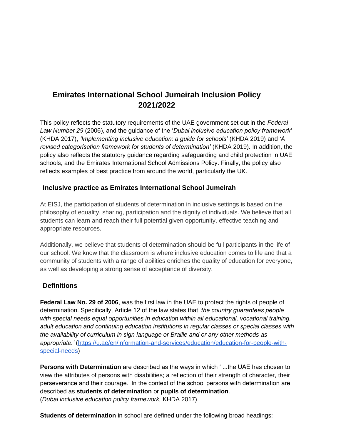# **Emirates International School Jumeirah Inclusion Policy 2021/2022**

This policy reflects the statutory requirements of the UAE government set out in the *Federal Law Number 29* (2006), and the guidance of the '*Dubai inclusive education policy framework'*  (KHDA 2017), *'Implementing inclusive education: a guide for schools'* (KHDA 2019) and *'A revised categorisation framework for students of determination'* (KHDA 2019). In addition, the policy also reflects the statutory guidance regarding safeguarding and child protection in UAE schools, and the Emirates International School Admissions Policy. Finally, the policy also reflects examples of best practice from around the world, particularly the UK.

## **Inclusive practice as Emirates International School Jumeirah**

At EISJ, the participation of students of determination in inclusive settings is based on the philosophy of equality, sharing, participation and the dignity of individuals. We believe that all students can learn and reach their full potential given opportunity, effective teaching and appropriate resources.

Additionally, we believe that students of determination should be full participants in the life of our school. We know that the classroom is where inclusive education comes to life and that a community of students with a range of abilities enriches the quality of education for everyone, as well as developing a strong sense of acceptance of diversity.

#### **Definitions**

**[Federal Law No. 29 of 2006](https://www.abudhabi.ae/portal/public/en/homepage/religion-and-community/people-of-determination-le/federal-law-no-29-of-2006-concerning-the-rights-of-people-of-determination)**, was the first law in the UAE to protect the rights of people of determination. Specifically, Article 12 of the law states that *'the country guarantees people with special needs equal opportunities in education within all educational, vocational training, adult education and continuing education institutions in regular classes or special classes with the availability of curriculum in sign language or Braille and or any other methods as appropriate.'* [\(https://u.ae/en/information-and-services/education/education-for-people-with](https://u.ae/en/information-and-services/education/education-for-people-with-special-needs)[special-needs\)](https://u.ae/en/information-and-services/education/education-for-people-with-special-needs)

**Persons with Determination** are described as the ways in which ' ...the UAE has chosen to view the attributes of persons with disabilities; a reflection of their strength of character, their perseverance and their courage.' In the context of the school persons with determination are described as **students of determination** or **pupils of determination**. (*Dubai inclusive education policy framework,* KHDA 2017)

**Students of determination** in school are defined under the following broad headings: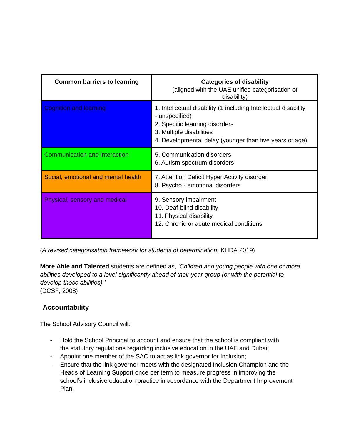| <b>Common barriers to learning</b>   | <b>Categories of disability</b><br>(aligned with the UAE unified categorisation of<br>disability)                                                                                                          |
|--------------------------------------|------------------------------------------------------------------------------------------------------------------------------------------------------------------------------------------------------------|
| <b>Cognition and learning</b>        | 1. Intellectual disability (1 including Intellectual disability<br>- unspecified)<br>2. Specific learning disorders<br>3. Multiple disabilities<br>4. Developmental delay (younger than five years of age) |
| <b>Communication and interaction</b> | 5. Communication disorders<br>6. Autism spectrum disorders                                                                                                                                                 |
| Social, emotional and mental health  | 7. Attention Deficit Hyper Activity disorder<br>8. Psycho - emotional disorders                                                                                                                            |
| Physical, sensory and medical        | 9. Sensory impairment<br>10. Deaf-blind disability<br>11. Physical disability<br>12. Chronic or acute medical conditions                                                                                   |

(*A revised categorisation framework for students of determination,* KHDA 2019)

**More Able and Talented** students are defined as, *'Children and young people with one or more abilities developed to a level significantly ahead of their year group (or with the potential to develop those abilities).'* (DCSF, 2008)

# **Accountability**

The School Advisory Council will:

- Hold the School Principal to account and ensure that the school is compliant with the statutory regulations regarding inclusive education in the UAE and Dubai;
- Appoint one member of the SAC to act as link governor for Inclusion;
- Ensure that the link governor meets with the designated Inclusion Champion and the Heads of Learning Support once per term to measure progress in improving the school's inclusive education practice in accordance with the Department Improvement Plan.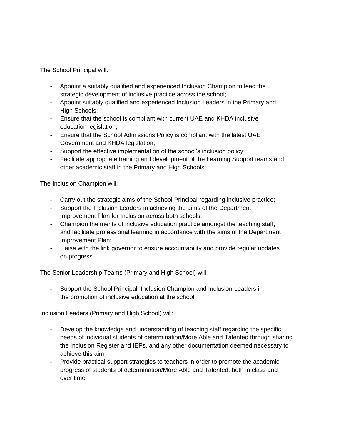The School Principal will:

- Appoint a suitably qualified and experienced Inclusion Champion to lead the strategic development of inclusive practice across the school;
- Appoint suitably qualified and experienced Inclusion Leaders in the Primary and High Schools;
- Ensure that the school is compliant with current UAE and KHDA inclusive education legislation:
- Ensure that the School Admissions Policy is compliant with the latest UAE Government and KHDA legislation;
- Support the effective implementation of the school's inclusion policy;
- Facilitate appropriate training and development of the Learning Support teams and other academic staff in the Primary and High Schools;

The Inclusion Champion will:

- Carry out the strategic aims of the School Principal regarding inclusive practice;
- Support the Inclusion Leaders in achieving the aims of the Department Improvement Plan for Inclusion across both schools;
- Champion the merits of inclusive education practice amongst the teaching staff, and facilitate professional learning in accordance with the aims of the Department Improvement Plan;
- Liaise with the link governor to ensure accountability and provide regular updates on progress.

The Senior Leadership Teams (Primary and High School) will:

- Support the School Principal, Inclusion Champion and Inclusion Leaders in the promotion of inclusive education at the school;

Inclusion Leaders (Primary and High School) will:

- Develop the knowledge and understanding of teaching staff regarding the specific needs of individual students of determination/More Able and Talented through sharing the Inclusion Register and IEPs, and any other documentation deemed necessary to achieve this aim;
- Provide practical support strategies to teachers in order to promote the academic progress of students of determination/More Able and Talented, both in class and over time;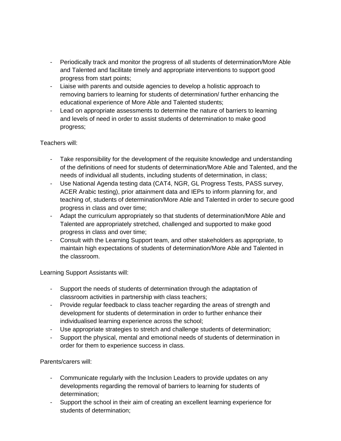- Periodically track and monitor the progress of all students of determination/More Able and Talented and facilitate timely and appropriate interventions to support good progress from start points;
- Liaise with parents and outside agencies to develop a holistic approach to removing barriers to learning for students of determination/ further enhancing the educational experience of More Able and Talented students;
- Lead on appropriate assessments to determine the nature of barriers to learning and levels of need in order to assist students of determination to make good progress;

#### Teachers will:

- Take responsibility for the development of the requisite knowledge and understanding of the definitions of need for students of determination/More Able and Talented, and the needs of individual all students, including students of determination, in class;
- Use National Agenda testing data (CAT4, NGR, GL Progress Tests, PASS survey, ACER Arabic testing), prior attainment data and IEPs to inform planning for, and teaching of, students of determination/More Able and Talented in order to secure good progress in class and over time;
- Adapt the curriculum appropriately so that students of determination/More Able and Talented are appropriately stretched, challenged and supported to make good progress in class and over time;
- Consult with the Learning Support team, and other stakeholders as appropriate, to maintain high expectations of students of determination/More Able and Talented in the classroom.

Learning Support Assistants will:

- Support the needs of students of determination through the adaptation of classroom activities in partnership with class teachers;
- Provide regular feedback to class teacher regarding the areas of strength and development for students of determination in order to further enhance their individualised learning experience across the school;
- Use appropriate strategies to stretch and challenge students of determination;
- Support the physical, mental and emotional needs of students of determination in order for them to experience success in class.

#### Parents/carers will:

- Communicate regularly with the Inclusion Leaders to provide updates on any developments regarding the removal of barriers to learning for students of determination;
- Support the school in their aim of creating an excellent learning experience for students of determination;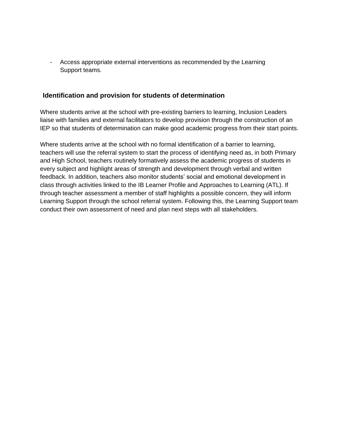- Access appropriate external interventions as recommended by the Learning Support teams.

#### **Identification and provision for students of determination**

Where students arrive at the school with pre-existing barriers to learning, Inclusion Leaders liaise with families and external facilitators to develop provision through the construction of an IEP so that students of determination can make good academic progress from their start points.

Where students arrive at the school with no formal identification of a barrier to learning, teachers will use the referral system to start the process of identifying need as, in both Primary and High School, teachers routinely formatively assess the academic progress of students in every subject and highlight areas of strength and development through verbal and written feedback. In addition, teachers also monitor students' social and emotional development in class through activities linked to the IB Learner Profile and Approaches to Learning (ATL). If through teacher assessment a member of staff highlights a possible concern, they will inform Learning Support through the school referral system. Following this, the Learning Support team conduct their own assessment of need and plan next steps with all stakeholders.